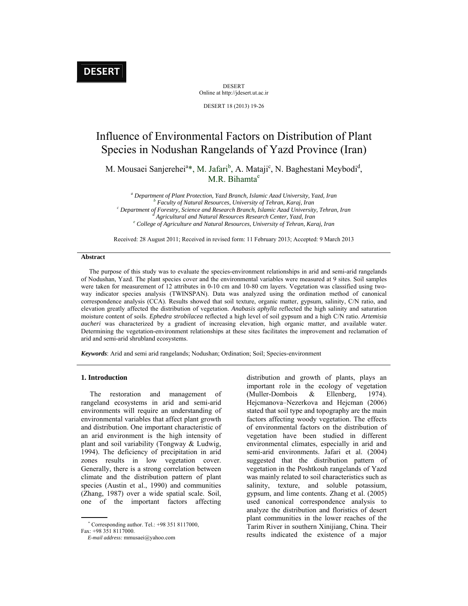DESERT Online at http://jdesert.ut.ac.ir

DESERT 18 (2013) 19-26

# Influence of Environmental Factors on Distribution of Plant Species in Nodushan Rangelands of Yazd Province (Iran)

M. Mousaei Sanjerehei<sup>a\*</sup>, M. Jafari<sup>b</sup>, A. Mataji<sup>c</sup>, N. Baghestani Meybodi<sup>d</sup>, M.R. Bihamta<sup>e</sup>

<sup>a</sup> Department of Plant Protection, Yazd Branch, Islamic Azad University, Yazd, Iran *b Faculty of Natural Resources, University of Tehran, Karaj, Iran* c<sup>c</sup> *Department of Fanatury Scimes and Bessensh Branch, Islamic Az Department of Forestry, Science and Research Branch, Islamic Azad University, Tehran, Iran d*  $e$ <sup>e</sup> College of Agriculture and Natural Resources, University of Tehran, Karaj, Iran

Received: 28 August 2011; Received in revised form: 11 February 2013; Accepted: 9 March 2013

#### **Abstract**

 The purpose of this study was to evaluate the species-environment relationships in arid and semi-arid rangelands of Nodushan, Yazd. The plant species cover and the environmental variables were measured at 9 sites. Soil samples were taken for measurement of 12 attributes in 0-10 cm and 10-80 cm layers. Vegetation was classified using twoway indicator species analysis (TWINSPAN). Data was analyzed using the ordination method of canonical correspondence analysis (CCA). Results showed that soil texture, organic matter, gypsum, salinity, C/N ratio, and elevation greatly affected the distribution of vegetation. *Anabasis aphylla* reflected the high salinity and saturation moisture content of soils. *Ephedra strobilacea* reflected a high level of soil gypsum and a high C/N ratio. *Artemisia aucheri* was characterized by a gradient of increasing elevation, high organic matter, and available water. Determining the vegetation-environment relationships at these sites facilitates the improvement and reclamation of arid and semi-arid shrubland ecosystems.

*Keywords*: Arid and semi arid rangelands; Nodushan; Ordination; Soil; Species-environment

#### **1. Introduction**

 The restoration and management of rangeland ecosystems in arid and semi-arid environments will require an understanding of environmental variables that affect plant growth and distribution. One important characteristic of an arid environment is the high intensity of plant and soil variability (Tongway & Ludwig, 1994). The deficiency of precipitation in arid zones results in low vegetation cover. Generally, there is a strong correlation between climate and the distribution pattern of plant species (Austin et al., 1990) and communities (Zhang, 1987) over a wide spatial scale. Soil, one of the important factors affecting distribution and growth of plants, plays an important role in the ecology of vegetation (Muller-Dombois & Ellenberg, 1974). Hejcmanova–Nezerkova and Hejcman (2006) stated that soil type and topography are the main factors affecting woody vegetation. The effects of environmental factors on the distribution of vegetation have been studied in different environmental climates, especially in arid and semi-arid environments. Jafari et al. (2004) suggested that the distribution pattern of vegetation in the Poshtkouh rangelands of Yazd was mainly related to soil characteristics such as salinity, texture, and soluble potassium, gypsum, and lime contents. Zhang et al. (2005) used canonical correspondence analysis to analyze the distribution and floristics of desert plant communities in the lower reaches of the Tarim River in southern Xinijiang, China. Their results indicated the existence of a major

 Corresponding author. Tel.: +98 351 8117000,

Fax: +98 351 8117000.

*E-mail address:* mmusaei@yahoo.com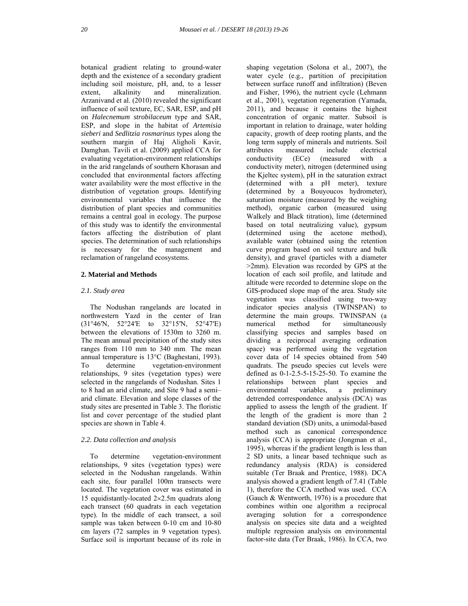botanical gradient relating to ground-water depth and the existence of a secondary gradient including soil moisture, pH, and, to a lesser extent, alkalinity and mineralization. Arzanivand et al. (2010) revealed the significant influence of soil texture, EC, SAR, ESP, and pH on *Halecnemum strobilaceum* type and SAR, ESP, and slope in the habitat of *Artemisia sieberi* and *Sedlitzia rosmarinus* types along the southern margin of Haj Aligholi Kavir, Damghan. Tavili et al. (2009) applied CCA for evaluating vegetation-environment relationships in the arid rangelands of southern Khorasan and concluded that environmental factors affecting water availability were the most effective in the distribution of vegetation groups. Identifying environmental variables that influence the distribution of plant species and communities remains a central goal in ecology. The purpose of this study was to identify the environmental factors affecting the distribution of plant species. The determination of such relationships is necessary for the management and reclamation of rangeland ecosystems.

#### **2. Material and Methods**

#### *2.1. Study area*

 The Nodushan rangelands are located in northwestern Yazd in the center of Iran (31°46′N, 52°24′E to 32°15′N, 52°47′E) between the elevations of 1530m to 3260 m. The mean annual precipitation of the study sites ranges from 110 mm to 340 mm. The mean annual temperature is 13°C (Baghestani, 1993). To determine vegetation-environment relationships, 9 sites (vegetation types) were selected in the rangelands of Nodushan. Sites 1 to 8 had an arid climate, and Site 9 had a semi– arid climate. Elevation and slope classes of the study sites are presented in Table 3. The floristic list and cover percentage of the studied plant species are shown in Table 4.

#### *2.2. Data collection and analysis*

 To determine vegetation-environment relationships, 9 sites (vegetation types) were selected in the Nodushan rangelands. Within each site, four parallel 100m transects were located. The vegetation cover was estimated in 15 equidistantly-located  $2\times2.5$ m quadrats along each transect (60 quadrats in each vegetation type). In the middle of each transect, a soil sample was taken between 0-10 cm and 10-80 cm layers (72 samples in 9 vegetation types). Surface soil is important because of its role in shaping vegetation (Solona et al., 2007), the water cycle (e.g., partition of precipitation between surface runoff and infiltration) (Beven and Fisher, 1996), the nutrient cycle (Lehmann et al., 2001), vegetation regeneration (Yamada, 2011), and because it contains the highest concentration of organic matter. Subsoil is important in relation to drainage, water holding capacity, growth of deep rooting plants, and the long term supply of minerals and nutrients. Soil attributes measured include electrical<br>conductivity (ECe) (measured with a  $(ECe)$  (measured with a conductivity meter), nitrogen (determined using the Kjeltec system), pH in the saturation extract (determined with a pH meter), texture (determined by a Bouyoucos hydrometer), saturation moisture (measured by the weighing method), organic carbon (measured using Walkely and Black titration), lime (determined based on total neutralizing value), gypsum (determined using the acetone method), available water (obtained using the retention curve program based on soil texture and bulk density), and gravel (particles with a diameter >2mm). Elevation was recorded by GPS at the location of each soil profile, and latitude and altitude were recorded to determine slope on the GIS-produced slope map of the area. Study site vegetation was classified using two-way indicator species analysis (TWINSPAN) to determine the main groups. TWINSPAN (a numerical method for simultaneously classifying species and samples based on dividing a reciprocal averaging ordination space) was performed using the vegetation cover data of 14 species obtained from 540 quadrats. The pseudo species cut levels were defined as 0-1-2.5-5-15-25-50. To examine the relationships between plant species and environmental variables, a preliminary detrended correspondence analysis (DCA) was applied to assess the length of the gradient. If the length of the gradient is more than 2 standard deviation (SD) units, a unimodal-based method such as canonical correspondence analysis (CCA) is appropriate (Jongman et al., 1995), whereas if the gradient length is less than 2 SD units, a linear based technique such as redundancy analysis (RDA) is considered suitable (Ter Braak and Prentice, 1988). DCA analysis showed a gradient length of 7.41 (Table 1), therefore the CCA method was used. CCA (Gauch & Wentworth, 1976) is a procedure that combines within one algorithm a reciprocal averaging solution for a correspondence analysis on species site data and a weighted multiple regression analysis on environmental factor-site data (Ter Braak, 1986). In CCA, two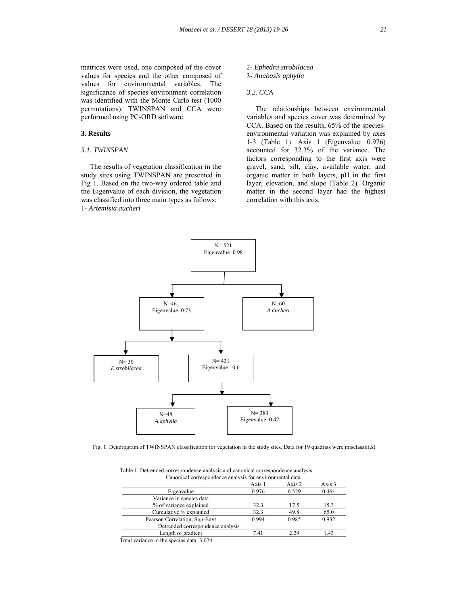matrices were used, one composed of the cover values for species and the other composed of values for environmental variables. The significance of species-environment correlation was identified with the Monte Carlo test (1000 permutations). TWINSPAN and CCA were performed using PC-ORD software.

#### **3. Results**

#### *3.1. TWINSPAN*

 The results of vegetation classification in the study sites using TWINSPAN are presented in Fig 1. Based on the two-way ordered table and the Eigenvalue of each division, the vegetation was classified into three main types as follows: 1- *Artemisia aucheri*

#### 2- *Ephedra strobilacea* 3- *Anabasis aphylla*

### *3.2. CCA*

 The relationships between environmental variables and species cover was determined by CCA. Based on the results, 65% of the speciesenvironmental variation was explained by axes 1-3 (Table 1). Axis 1 (Eigenvalue: 0.976) accounted for 32.3% of the variance. The factors corresponding to the first axis were gravel, sand, silt, clay, available water, and organic matter in both layers, pH in the first layer, elevation, and slope (Table 2). Organic matter in the second layer had the highest correlation with this axis.



Fig. 1. Dendrogram of TWINSPAN classification for vegetation in the study sites. Data for 19 quadrats were misclassified

| raone r. Detrended correspondence andrysis and canomical correspondence andrysis<br>Canonical correspondence analysis for environmental data |        |        |        |
|----------------------------------------------------------------------------------------------------------------------------------------------|--------|--------|--------|
|                                                                                                                                              | Axis 1 | Axis 2 | Axis 3 |
| Eigenvalue                                                                                                                                   | 0.976  | 0.529  | 0.461  |
| Variance in species data                                                                                                                     |        |        |        |
| % of variance explained                                                                                                                      | 32.3   | 17.5   | 15.3   |
| Cumulative % explained                                                                                                                       | 32.3   | 49.8   | 65.0   |
| Pearson Correlation, Spp-Envt                                                                                                                | 0.994  | 0.985  | 0.932  |
| Detrended correspondence analysis                                                                                                            |        |        |        |
| Length of gradient                                                                                                                           | 7.41   | 2.29   | 1.43   |
| Total variance in the species data: 3.024                                                                                                    |        |        |        |

Table 1. Detrended correspondence analysis and canonical correspondence analysis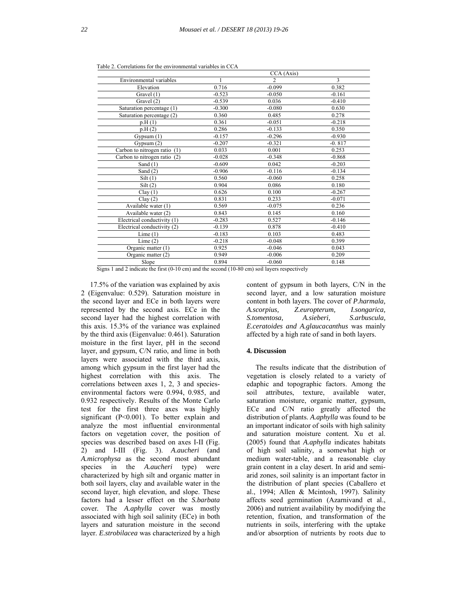|                              |          | CCA (Axis)     |          |
|------------------------------|----------|----------------|----------|
| Environmental variables      |          | $\mathfrak{D}$ | 3        |
| Elevation                    | 0.716    | $-0.099$       | 0.382    |
| Gravel (1)                   | $-0.523$ | $-0.050$       | $-0.161$ |
| Gravel (2)                   | $-0.539$ | 0.036          | $-0.410$ |
| Saturation percentage (1)    | $-0.300$ | $-0.080$       | 0.630    |
| Saturation percentage (2)    | 0.360    | 0.485          | 0.278    |
| p.H(1)                       | 0.361    | $-0.051$       | $-0.218$ |
| p.H(2)                       | 0.286    | $-0.133$       | 0.350    |
| Gypsum $(1)$                 | $-0.157$ | $-0.296$       | $-0.930$ |
| Gypsum (2)                   | $-0.207$ | $-0.321$       | $-0.817$ |
| Carbon to nitrogen ratio (1) | 0.033    | 0.001          | 0.253    |
| Carbon to nitrogen ratio (2) | $-0.028$ | $-0.348$       | $-0.868$ |
| Sand $(1)$                   | $-0.609$ | 0.042          | $-0.203$ |
| Sand $(2)$                   | $-0.906$ | $-0.116$       | $-0.134$ |
| Silt(1)                      | 0.560    | $-0.060$       | 0.258    |
| Silt(2)                      | 0.904    | 0.086          | 0.180    |
| Clay(1)                      | 0.626    | 0.100          | $-0.267$ |
| Clay(2)                      | 0.831    | 0.233          | $-0.071$ |
| Available water (1)          | 0.569    | $-0.075$       | 0.236    |
| Available water (2)          | 0.843    | 0.145          | 0.160    |
| Electrical conductivity (1)  | $-0.283$ | 0.527          | $-0.146$ |
| Electrical conductivity (2)  | $-0.139$ | 0.878          | $-0.410$ |
| Lime(1)                      | $-0.183$ | 0.103          | 0.483    |
| Lime(2)                      | $-0.218$ | $-0.048$       | 0.399    |
| Organic matter (1)           | 0.925    | $-0.046$       | 0.043    |
| Organic matter (2)           | 0.949    | $-0.006$       | 0.209    |
| Slope                        | 0.894    | $-0.060$       | 0.148    |

Table 2. Correlations for the environmental variables in CCA

Signs 1 and 2 indicate the first (0-10 cm) and the second (10-80 cm) soil layers respectively

 17.5% of the variation was explained by axis 2 (Eigenvalue: 0.529). Saturation moisture in the second layer and ECe in both layers were represented by the second axis. ECe in the second layer had the highest correlation with this axis. 15.3% of the variance was explained by the third axis (Eigenvalue: 0.461). Saturation moisture in the first layer, pH in the second layer, and gypsum, C/N ratio, and lime in both layers were associated with the third axis, among which gypsum in the first layer had the highest correlation with this axis. The correlations between axes 1, 2, 3 and speciesenvironmental factors were 0.994, 0.985, and 0.932 respectively. Results of the Monte Carlo test for the first three axes was highly significant (P<0.001). To better explain and analyze the most influential environmental factors on vegetation cover, the position of species was described based on axes I-II (Fig. 2) and I-III (Fig. 3). *A.aucheri* (and *A.microphysa* as the second most abundant species in the *A.aucheri* type) were characterized by high silt and organic matter in both soil layers, clay and available water in the second layer, high elevation, and slope. These factors had a lesser effect on the *S.barbata*  cover*.* The *A.aphylla* cover was mostly associated with high soil salinity (ECe) in both layers and saturation moisture in the second layer. *E.strobilacea* was characterized by a high

content of gypsum in both layers, C/N in the second layer, and a low saturation moisture content in both layers. The cover of *P.harmala, A.scorpius, Z.europterum, I.songarica, S.tomentosa, A.sieberi, S.arbuscula, E.ceratoides and A.glaucacanthus* was mainly affected by a high rate of sand in both layers.

#### **4. Discussion**

 The results indicate that the distribution of vegetation is closely related to a variety of edaphic and topographic factors. Among the soil attributes, texture, available water, saturation moisture, organic matter, gypsum, ECe and C/N ratio greatly affected the distribution of plants. *A.aphylla* was found to be an important indicator of soils with high salinity and saturation moisture content*.* Xu et al. (2005) found that *A.aphylla* indicates habitats of high soil salinity, a somewhat high or medium water-table, and a reasonable clay grain content in a clay desert. In arid and semiarid zones, soil salinity is an important factor in the distribution of plant species (Caballero et al., 1994; Allen & Mcintosh, 1997). Salinity affects seed germination (Azarnivand et al., 2006) and nutrient availability by modifying the retention, fixation, and transformation of the nutrients in soils, interfering with the uptake and/or absorption of nutrients by roots due to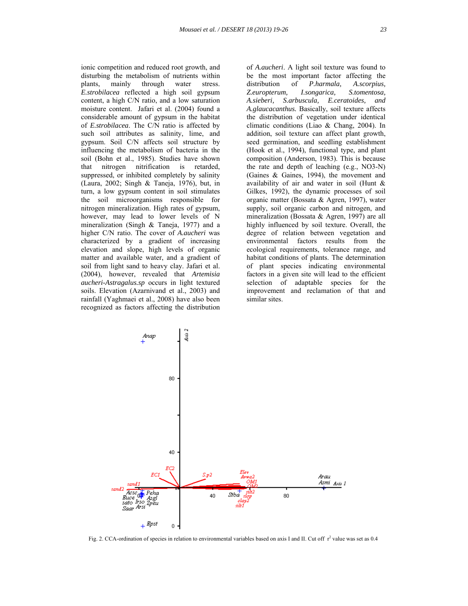ionic competition and reduced root growth, and disturbing the metabolism of nutrients within plants, mainly through water stress. *E.strobilacea* reflected a high soil gypsum content, a high C/N ratio, and a low saturation moisture content. Jafari et al. (2004) found a considerable amount of gypsum in the habitat of *E.strobilacea*. The C/N ratio is affected by such soil attributes as salinity, lime, and gypsum. Soil C/N affects soil structure by influencing the metabolism of bacteria in the soil (Bohn et al., 1985). Studies have shown that nitrogen nitrification is retarded, suppressed, or inhibited completely by salinity (Laura, 2002; Singh & Taneja, 1976), but, in turn, a low gypsum content in soil stimulates the soil microorganisms responsible for nitrogen mineralization. High rates of gypsum, however, may lead to lower levels of N mineralization (Singh & Taneja, 1977) and a higher C/N ratio. The cover of *A.aucheri* was characterized by a gradient of increasing elevation and slope, high levels of organic matter and available water, and a gradient of soil from light sand to heavy clay. Jafari et al. (2004), however, revealed that *Artemisia aucheri-Astragalus.sp* occurs in light textured soils. Elevation (Azarnivand et al., 2003) and rainfall (Yaghmaei et al., 2008) have also been recognized as factors affecting the distribution of *A.aucheri*. A light soil texture was found to be the most important factor affecting the distribution of *P.harmala, A.scorpius, Z.europterum, I.songarica, S.tomentosa, A.sieberi, S.arbuscula, E.ceratoides, and A.glaucacanthus.* Basically, soil texture affects the distribution of vegetation under identical climatic conditions (Liao & Chang, 2004). In addition, soil texture can affect plant growth, seed germination, and seedling establishment (Hook et al., 1994), functional type, and plant composition (Anderson, 1983). This is because the rate and depth of leaching (e.g., NO3-N) (Gaines & Gaines, 1994), the movement and availability of air and water in soil (Hunt & Gilkes, 1992), the dynamic processes of soil organic matter (Bossata & Agren, 1997), water supply, soil organic carbon and nitrogen, and mineralization (Bossata & Agren, 1997) are all highly influenced by soil texture. Overall, the degree of relation between vegetation and environmental factors results from the ecological requirements, tolerance range, and habitat conditions of plants. The determination of plant species indicating environmental factors in a given site will lead to the efficient selection of adaptable species for the improvement and reclamation of that and similar sites.



Fig. 2. CCA-ordination of species in relation to environmental variables based on axis I and II. Cut off  $r^2$  value was set as 0.4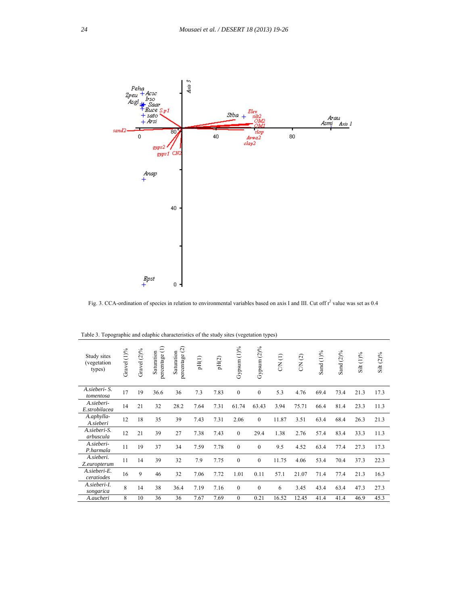

Fig. 3. CCA-ordination of species in relation to environmental variables based on axis I and III. Cut off  $r^2$  value was set as 0.4

| Study sites<br>(vegetation<br>types) | Gravel (1)% | $(2)\%$<br>Gravel | percentage (1)<br>Saturation | percentage (2)<br>Saturation | pH(1) | pH(2) | Gypsum (1)%      | Gypsum $(2)$ % | CN (1) | CN(2) | Sand (1)% | Sand $(2)\%$ | Silt $(1)$ % | Silt $(2)\%$ |
|--------------------------------------|-------------|-------------------|------------------------------|------------------------------|-------|-------|------------------|----------------|--------|-------|-----------|--------------|--------------|--------------|
| A.sieberi- S.<br>tomentosa           | 17          | 19                | 36.6                         | 36                           | 7.3   | 7.83  | $\mathbf{0}$     | $\mathbf{0}$   | 5.3    | 4.76  | 69.4      | 73.4         | 21.3         | 17.3         |
| A.sieberi-<br>E.strobilacea          | 14          | 21                | 32                           | 28.2                         | 7.64  | 7.31  | 61.74            | 63.43          | 3.94   | 75.71 | 66.4      | 81.4         | 23.3         | 11.3         |
| A.aphylla-<br>A.sieberi              | 12          | 18                | 35                           | 39                           | 7.43  | 7.31  | 2.06             | $\mathbf{0}$   | 11.87  | 3.51  | 63.4      | 68.4         | 26.3         | 21.3         |
| A.sieberi-S.<br>arbuscula            | 12          | 21                | 39                           | 27                           | 7.38  | 7.43  | $\mathbf{0}$     | 29.4           | 1.38   | 2.76  | 57.4      | 83.4         | 33.3         | 11.3         |
| A.sieberi-<br>P.harmala              | 11          | 19                | 37                           | 34                           | 7.59  | 7.78  | $\mathbf{0}$     | $\mathbf{0}$   | 9.5    | 4.52  | 63.4      | 77.4         | 27.3         | 17.3         |
| A.sieberi.<br>Z.europterum           | 11          | 14                | 39                           | 32                           | 7.9   | 7.75  | $\boldsymbol{0}$ | $\mathbf{0}$   | 11.75  | 4.06  | 53.4      | 70.4         | 37.3         | 22.3         |
| A.sieberi-E.<br>ceratiodes           | 16          | 9                 | 46                           | 32                           | 7.06  | 7.72  | 1.01             | 0.11           | 57.1   | 21.07 | 71.4      | 77.4         | 21.3         | 16.3         |
| A.sieberi-I.<br>songarica            | 8           | 14                | 38                           | 36.4                         | 7.19  | 7.16  | $\mathbf{0}$     | $\mathbf{0}$   | 6      | 3.45  | 43.4      | 63.4         | 47.3         | 27.3         |
| A.aucheri                            | 8           | 10                | 36                           | 36                           | 7.67  | 7.69  | $\boldsymbol{0}$ | 0.21           | 16.52  | 12.45 | 41.4      | 41.4         | 46.9         | 45.3         |

Table 3. Topographic and edaphic characteristics of the study sites (vegetation types)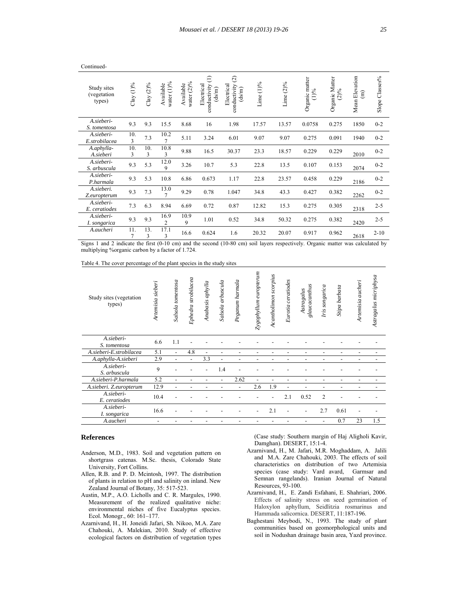| Study sites<br>(vegetation<br>types) | $Clay(1)\%$           | Clay $(2)\%$ | water (1)%<br>Available | water $(2)\%$<br>Available | $\widehat{\Xi}$<br>Electrical<br>conductivity<br>(ds/m) | $\widehat{c}$<br>Electrical<br>conductivity<br>(ds/m) | Lime $(1)$ % | Lime $(2)\%$ | Organic matter<br>$(1) \%$ | Organic Matter<br>$(2)\%$ | Mean Elevation<br>$\widehat{E}$ | Classes%<br>Slope ' |
|--------------------------------------|-----------------------|--------------|-------------------------|----------------------------|---------------------------------------------------------|-------------------------------------------------------|--------------|--------------|----------------------------|---------------------------|---------------------------------|---------------------|
| A.sieberi-<br>S. tomentosa           | 9.3                   | 9.3          | 15.5                    | 8.68                       | 16                                                      | 1.98                                                  | 17.57        | 13.57        | 0.0758                     | 0.275                     | 1850                            | $0 - 2$             |
| A.sieberi-<br>E.strobilacea          | 10.<br>3              | 7.3          | 10.2<br>7               | 5.11                       | 3.24                                                    | 6.01                                                  | 9.07         | 9.07         | 0.275                      | 0.091                     | 1940                            | $0 - 2$             |
| A.aphylla-<br>A.sieberi              | 10.<br>3              | 10.<br>3     | 10.8<br>3               | 9.88                       | 16.5                                                    | 30.37                                                 | 23.3         | 18.57        | 0.229                      | 0.229                     | 2010                            | $0 - 2$             |
| A.sieberi-<br>S. arbuscula           | 9.3                   | 5.3          | 12.0<br>9               | 3.26                       | 10.7                                                    | 5.3                                                   | 22.8         | 13.5         | 0.107                      | 0.153                     | 2074                            | $0 - 2$             |
| A.sieberi-<br>P.harmala              | 9.3                   | 5.3          | 10.8                    | 6.86                       | 0.673                                                   | 1.17                                                  | 22.8         | 23.57        | 0.458                      | 0.229                     | 2186                            | $0 - 2$             |
| A.sieberi.<br>Z.europterum           | 9.3                   | 7.3          | 13.0<br>$\overline{7}$  | 9.29                       | 0.78                                                    | 1.047                                                 | 34.8         | 43.3         | 0.427                      | 0.382                     | 2262                            | $0 - 2$             |
| A.sieberi-<br>E. ceratiodes          | 7.3                   | 6.3          | 8.94                    | 6.69                       | 0.72                                                    | 0.87                                                  | 12.82        | 15.3         | 0.275                      | 0.305                     | 2318                            | $2 - 5$             |
| A.sieberi-<br>I. songarica           | 9.3                   | 9.3          | 16.9<br>$\overline{c}$  | 10.9<br>9                  | 1.01                                                    | 0.52                                                  | 34.8         | 50.32        | 0.275                      | 0.382                     | 2420                            | $2 - 5$             |
| A.aucheri                            | 11.<br>$\overline{7}$ | 13.<br>3     | 17.1<br>3               | 16.6                       | 0.624                                                   | 1.6                                                   | 20.32        | 20.07        | 0.917                      | 0.962                     | 2618                            | $2 - 10$            |

Signs 1 and 2 indicate the first (0-10 cm) and the second (10-80 cm) soil layers respectively. Organic matter was calculated by multiplying %organic carbon by a factor of 1.724.

Table 4. The cover percentage of the plant species in the study sites

| Study sites (vegetation<br>types) | Artemisia sieberi | Salsola tomentosa        | Ephedra strobilacea | Anabasis aphylla | Salsola arbuscula        | Peganum harmala          | europterum<br>Zygophyllum | scorpius<br>Acantholimon | Eurotia ceratiodes       | glaucacanthus<br>Astragalus | Iris songarica           | Stipa barbata            | Artemisia aucheri        | Astragalus micriphysa |
|-----------------------------------|-------------------|--------------------------|---------------------|------------------|--------------------------|--------------------------|---------------------------|--------------------------|--------------------------|-----------------------------|--------------------------|--------------------------|--------------------------|-----------------------|
| A.sieberi-<br>S. tomentosa        | 6.6               | 1.1                      |                     |                  |                          |                          |                           |                          |                          |                             |                          |                          |                          |                       |
| A.sieberi-E.strobilacea           | 5.1               |                          | 4.8                 |                  |                          |                          |                           |                          |                          |                             |                          |                          |                          |                       |
| A.aphylla-A.sieberi               | 2.9               |                          |                     | 3.3              |                          |                          |                           |                          |                          |                             |                          |                          |                          |                       |
| A.sieberi-<br>S. arbuscula        | 9                 |                          |                     |                  | 1.4                      |                          |                           |                          |                          |                             |                          |                          |                          |                       |
| A.sieberi-P.harmala               | 5.2               |                          |                     |                  | $\overline{a}$           | 2.62                     |                           |                          |                          |                             |                          |                          |                          |                       |
| A.sieberi. Z.europterum           | 12.9              | $\overline{\phantom{a}}$ |                     |                  | $\overline{\phantom{a}}$ | $\overline{\phantom{a}}$ | 2.6                       | 1.9                      | $\overline{\phantom{0}}$ |                             | $\overline{\phantom{a}}$ | $\overline{\phantom{0}}$ | $\overline{\phantom{0}}$ |                       |
| A.sieberi-<br>E. ceratiodes       | 10.4              |                          |                     |                  |                          |                          |                           |                          | 2.1                      | 0.52                        | $\overline{c}$           |                          |                          |                       |
| A.sieberi-<br>I. songarica        | 16.6              |                          |                     |                  |                          |                          |                           | 2.1                      |                          |                             | 2.7                      | 0.61                     |                          |                       |
| A.aucheri                         |                   |                          |                     |                  |                          |                          |                           |                          |                          |                             |                          | 0.7                      | 23                       | 1.5                   |

## **References**

Continued-

- Anderson, M.D., 1983. Soil and vegetation pattern on shortgrass catenas. M.Sc. thesis, Colorado State University, Fort Collins.
- Allen, R.B. and P. D. Mcintosh, 1997. The distribution of plants in relation to pH and salinity on inland. New Zealand Journal of Botany, 35: 517-523.
- Austin, M.P., A.O. Licholls and C. R. Margules, 1990. Measurement of the realized qualitative niche: environmental niches of five Eucalyptus species. Ecol. Monogr., 60: 161–177.
- Azarnivand, H., H. Joneidi Jafari, Sh. Nikoo, M.A. Zare Chahouki, A. Malekian, 2010. Study of effective ecological factors on distribution of vegetation types

 (Case study: Southern margin of Haj Aligholi Kavir, Damghan). DESERT, 15:1-4.

- Azarnivand, H., M. Jafari, M.R. Moghaddam, A. Jalili and M.A. Zare Chahouki, 2003. The effects of soil characteristics on distribution of two Artemisia species (case study: Vard avard, Garmsar and Semnan rangelands). Iranian Journal of Natural Resources, 93-100.
- Azarnivand, H., E. Zandi Esfahani, E. Shahriari, 2006. Effects of salinity stress on seed germination of Haloxylon aphyllum, Seidlitzia rosmarinus and Hammada salicornica. DESERT, 11:187-196.
- Baghestani Meybodi, N., 1993. The study of plant communities based on geomorphological units and soil in Nodushan drainage basin area, Yazd province.